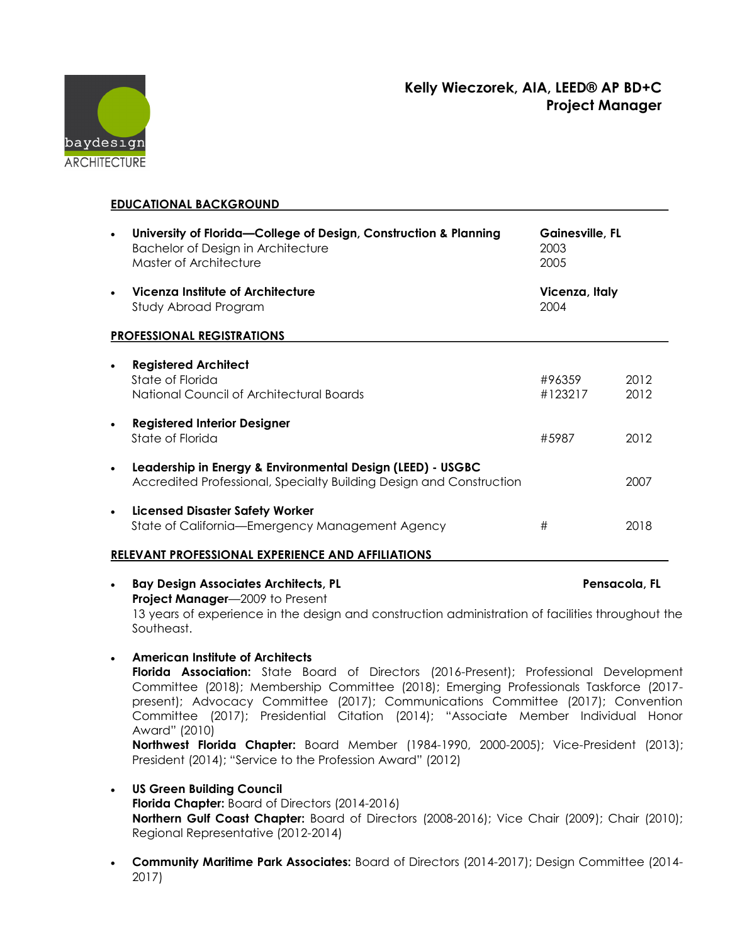## **Kelly Wieczorek, AIA, LEED® AP BD+C Project Manager**



**EDUCATIONAL BACKGROUND**

|                                                          | University of Florida-College of Design, Construction & Planning<br>Bachelor of Design in Architecture<br>Master of Architecture  | Gainesville, FL<br>2003<br>2005 |              |
|----------------------------------------------------------|-----------------------------------------------------------------------------------------------------------------------------------|---------------------------------|--------------|
|                                                          | Vicenza Institute of Architecture<br>Study Abroad Program                                                                         | Vicenza, Italy<br>2004          |              |
| <b>PROFESSIONAL REGISTRATIONS</b>                        |                                                                                                                                   |                                 |              |
| $\bullet$                                                | <b>Registered Architect</b><br>State of Florida<br>National Council of Architectural Boards                                       | #96359<br>#123217               | 2012<br>2012 |
|                                                          | <b>Registered Interior Designer</b><br>State of Florida                                                                           | #5987                           | 2012         |
|                                                          | Leadership in Energy & Environmental Design (LEED) - USGBC<br>Accredited Professional, Specialty Building Design and Construction |                                 | 2007         |
| $\bullet$                                                | <b>Licensed Disaster Safety Worker</b><br>State of California-Emergency Management Agency                                         | #                               | 2018         |
| <b>RELEVANT PROFESSIONAL EXPERIENCE AND AFFILIATIONS</b> |                                                                                                                                   |                                 |              |
| $\bullet$                                                | <b>Bay Design Associates Architects, PL</b><br>Project Manager-2009 to Present                                                    | Pensacola, FL                   |              |

- 13 years of experience in the design and construction administration of facilities throughout the Southeast.
- **American Institute of Architects**

**Florida Association:** State Board of Directors (2016-Present); Professional Development Committee (2018); Membership Committee (2018); Emerging Professionals Taskforce (2017 present); Advocacy Committee (2017); Communications Committee (2017); Convention Committee (2017); Presidential Citation (2014); "Associate Member Individual Honor Award" (2010)

**Northwest Florida Chapter:** Board Member (1984-1990, 2000-2005); Vice-President (2013); President (2014); "Service to the Profession Award" (2012)

- **US Green Building Council Florida Chapter:** Board of Directors (2014-2016) **Northern Gulf Coast Chapter:** Board of Directors (2008-2016); Vice Chair (2009); Chair (2010); Regional Representative (2012-2014)
- **Community Maritime Park Associates:** Board of Directors (2014-2017); Design Committee (2014- 2017)